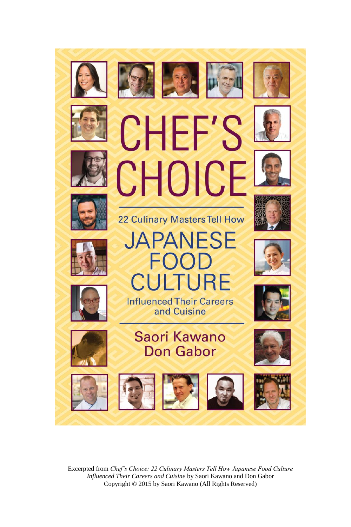

















CHEF'S

CHOICI











22 Culinary Masters Tell How







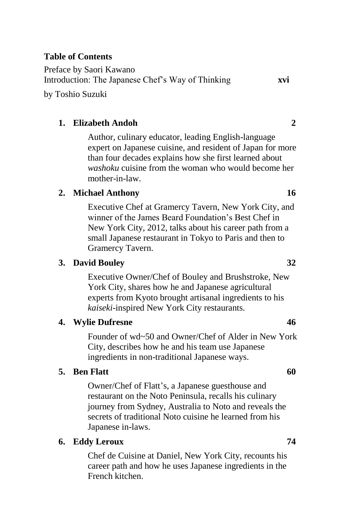### **Table of Contents**

Preface by Saori Kawano Introduction: The Japanese Chef's Way of Thinking **xvi** by Toshio Suzuki

### **1. Elizabeth Andoh 2**

Author, culinary educator, leading English-language expert on Japanese cuisine, and resident of Japan for more than four decades explains how she first learned about *washoku* cuisine from the woman who would become her mother-in-law.

#### **2. Michael Anthony 16**

Executive Chef at Gramercy Tavern, New York City, and winner of the James Beard Foundation's Best Chef in New York City, 2012, talks about his career path from a small Japanese restaurant in Tokyo to Paris and then to Gramercy Tavern.

#### **3. David Bouley 32**

Executive Owner/Chef of Bouley and Brushstroke, New York City, shares how he and Japanese agricultural experts from Kyoto brought artisanal ingredients to his *kaiseki*-inspired New York City restaurants.

### **4. Wylie Dufresne 46**

Founder of wd~50 and Owner/Chef of Alder in New York City, describes how he and his team use Japanese ingredients in non-traditional Japanese ways.

### **5. Ben Flatt 60**

Owner/Chef of Flatt's, a Japanese guesthouse and restaurant on the Noto Peninsula, recalls his culinary journey from Sydney, Australia to Noto and reveals the secrets of traditional Noto cuisine he learned from his Japanese in-laws.

### **6. Eddy Leroux 74**

Chef de Cuisine at Daniel, New York City, recounts his career path and how he uses Japanese ingredients in the French kitchen.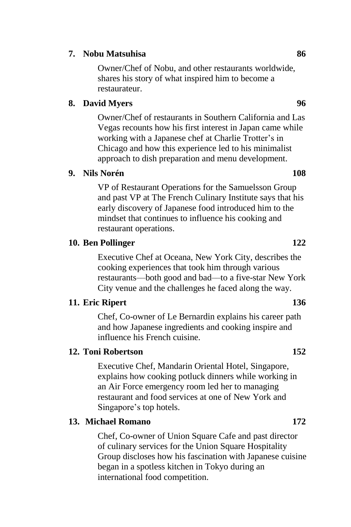#### **7. Nobu Matsuhisa 86**

Owner/Chef of Nobu, and other restaurants worldwide, shares his story of what inspired him to become a restaurateur.

#### **8. David Myers 96**

Owner/Chef of restaurants in Southern California and Las Vegas recounts how his first interest in Japan came while working with a Japanese chef at Charlie Trotter's in Chicago and how this experience led to his minimalist approach to dish preparation and menu development.

#### **9. Nils Norén 108**

VP of Restaurant Operations for the Samuelsson Group and past VP at The French Culinary Institute says that his early discovery of Japanese food introduced him to the mindset that continues to influence his cooking and restaurant operations.

#### **10. Ben Pollinger 122**

Executive Chef at Oceana, New York City, describes the cooking experiences that took him through various restaurants––both good and bad––to a five-star New York City venue and the challenges he faced along the way.

#### **11. Eric Ripert 136**

Chef, Co-owner of Le Bernardin explains his career path and how Japanese ingredients and cooking inspire and influence his French cuisine.

#### **12. Toni Robertson 152**

Executive Chef, Mandarin Oriental Hotel, Singapore, explains how cooking potluck dinners while working in an Air Force emergency room led her to managing restaurant and food services at one of New York and Singapore's top hotels.

### **13. Michael Romano 172**

Chef, Co-owner of Union Square Cafe and past director of culinary services for the Union Square Hospitality Group discloses how his fascination with Japanese cuisine began in a spotless kitchen in Tokyo during an international food competition.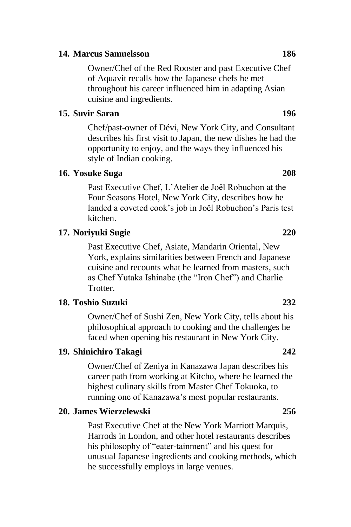#### **14. Marcus Samuelsson 186**

Owner/Chef of the Red Rooster and past Executive Chef of Aquavit recalls how the Japanese chefs he met throughout his career influenced him in adapting Asian cuisine and ingredients.

### **15. Suvir Saran 196**

Chef/past-owner of Dévi, New York City, and Consultant describes his first visit to Japan, the new dishes he had the opportunity to enjoy, and the ways they influenced his style of Indian cooking.

### **16. Yosuke Suga 208**

Past Executive Chef, L'Atelier de Joël Robuchon at the Four Seasons Hotel, New York City, describes how he landed a coveted cook's job in Joël Robuchon's Paris test kitchen.

### **17. Noriyuki Sugie 220**

Past Executive Chef, Asiate, Mandarin Oriental, New York, explains similarities between French and Japanese cuisine and recounts what he learned from masters, such as Chef Yutaka Ishinabe (the "Iron Chef") and Charlie Trotter.

#### **18. Toshio Suzuki 232**

Owner/Chef of Sushi Zen, New York City, tells about his philosophical approach to cooking and the challenges he faced when opening his restaurant in New York City.

### **19. Shinichiro Takagi 242**

Owner/Chef of Zeniya in Kanazawa Japan describes his career path from working at Kitcho, where he learned the highest culinary skills from Master Chef Tokuoka, to running one of Kanazawa's most popular restaurants.

### **20. James Wierzelewski 256**

Past Executive Chef at the New York Marriott Marquis, Harrods in London, and other hotel restaurants describes his philosophy of "eater-tainment" and his quest for unusual Japanese ingredients and cooking methods, which he successfully employs in large venues.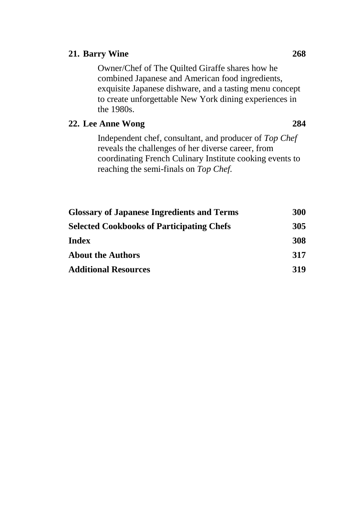#### **21. Barry Wine 268**

Owner/Chef of The Quilted Giraffe shares how he combined Japanese and American food ingredients, exquisite Japanese dishware, and a tasting menu concept to create unforgettable New York dining experiences in the 1980s.

### **22. Lee Anne Wong 284**

Independent chef, consultant, and producer of *Top Chef* reveals the challenges of her diverse career, from coordinating French Culinary Institute cooking events to reaching the semi-finals on *Top Chef.*

| 300 |
|-----|
| 305 |
| 308 |
| 317 |
| 319 |
|     |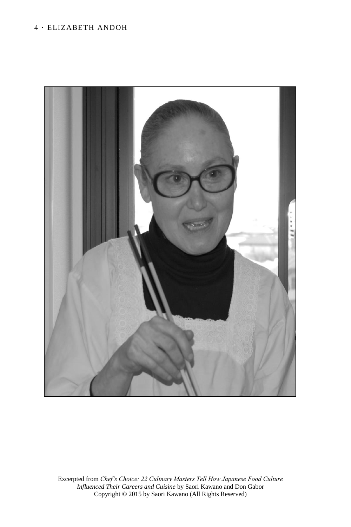#### 4 **·** ELIZABETH ANDOH

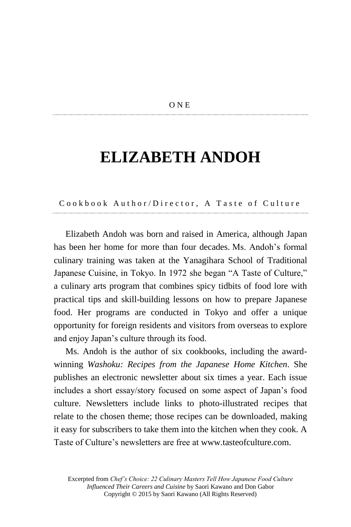#### **ONE**

# **ELIZABETH ANDOH**

Cookbook Author/Director, A Taste of Culture

Elizabeth Andoh was born and raised in America, although Japan has been her home for more than four decades. Ms. Andoh's formal culinary training was taken at the Yanagihara School of Traditional Japanese Cuisine, in Tokyo. In 1972 she began "A Taste of Culture," a culinary arts program that combines spicy tidbits of food lore with practical tips and skill-building lessons on how to prepare Japanese food. Her programs are conducted in Tokyo and offer a unique opportunity for foreign residents and visitors from overseas to explore and enjoy Japan's culture through its food.

Ms. Andoh is the author of six cookbooks, including the awardwinning *Washoku: Recipes from the Japanese Home Kitchen*. She publishes an electronic newsletter about six times a year. Each issue includes a short essay/story focused on some aspect of Japan's food culture. Newsletters include links to photo-illustrated recipes that relate to the chosen theme; those recipes can be downloaded, making it easy for subscribers to take them into the kitchen when they cook. A Taste of Culture's newsletters are free at [www.tasteofculture.com.](http://www.tasteofculture.com/)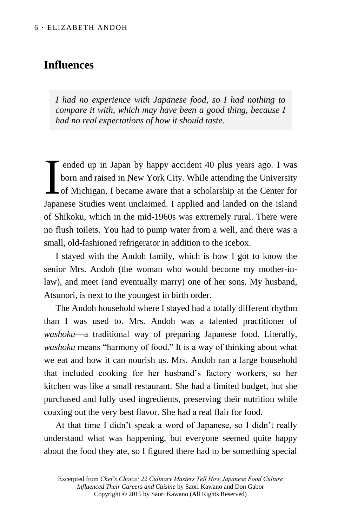## **Influences**

*I had no experience with Japanese food, so I had nothing to compare it with, which may have been a good thing, because I had no real expectations of how it should taste.* 

ended up in Japan by happy accident 40 plus years ago. I was born and raised in New York City. While attending the University of Michigan, I became aware that a scholarship at the Center for Japanese Studies went unclaimed. I applied and landed on the island of Shikoku, which in the mid-1960s was extremely rural. There were no flush toilets. You had to pump water from a well, and there was a small, old-fashioned refrigerator in addition to the icebox. I

I stayed with the Andoh family, which is how I got to know the senior Mrs. Andoh (the woman who would become my mother-inlaw), and meet (and eventually marry) one of her sons. My husband, Atsunori, is next to the youngest in birth order.

The Andoh household where I stayed had a totally different rhythm than I was used to. Mrs. Andoh was a talented practitioner of *washoku*––a traditional way of preparing Japanese food. Literally, *washoku* means "harmony of food." It is a way of thinking about what we eat and how it can nourish us. Mrs. Andoh ran a large household that included cooking for her husband's factory workers, so her kitchen was like a small restaurant. She had a limited budget, but she purchased and fully used ingredients, preserving their nutrition while coaxing out the very best flavor. She had a real flair for food.

At that time I didn't speak a word of Japanese, so I didn't really understand what was happening, but everyone seemed quite happy about the food they ate, so I figured there had to be something special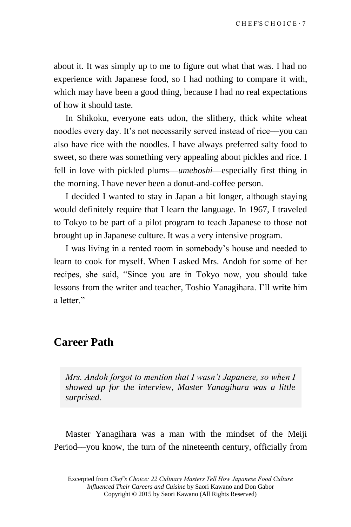about it. It was simply up to me to figure out what that was. I had no experience with Japanese food, so I had nothing to compare it with, which may have been a good thing, because I had no real expectations of how it should taste.

In Shikoku, everyone eats udon, the slithery, thick white wheat noodles every day. It's not necessarily served instead of rice—you can also have rice with the noodles. I have always preferred salty food to sweet, so there was something very appealing about pickles and rice. I fell in love with pickled plums––*umeboshi*––especially first thing in the morning. I have never been a donut-and-coffee person.

I decided I wanted to stay in Japan a bit longer, although staying would definitely require that I learn the language. In 1967, I traveled to Tokyo to be part of a pilot program to teach Japanese to those not brought up in Japanese culture. It was a very intensive program.

I was living in a rented room in somebody's house and needed to learn to cook for myself. When I asked Mrs. Andoh for some of her recipes, she said, "Since you are in Tokyo now, you should take lessons from the writer and teacher, Toshio Yanagihara. I'll write him a letter."

## **Career Path**

*Mrs. Andoh forgot to mention that I wasn't Japanese, so when I showed up for the interview, Master Yanagihara was a little surprised.* 

Master Yanagihara was a man with the mindset of the Meiji Period––you know, the turn of the nineteenth century, officially from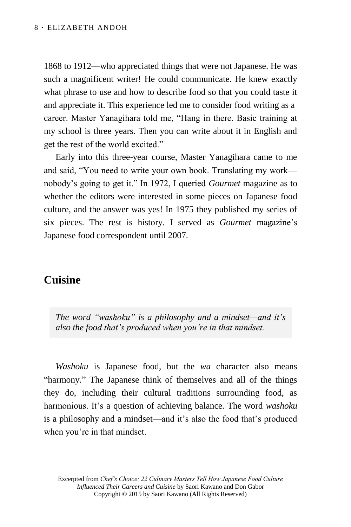1868 to 1912––who appreciated things that were not Japanese. He was such a magnificent writer! He could communicate. He knew exactly what phrase to use and how to describe food so that you could taste it and appreciate it. This experience led me to consider food writing as a career. Master Yanagihara told me, "Hang in there. Basic training at my school is three years. Then you can write about it in English and get the rest of the world excited."

Early into this three-year course, Master Yanagihara came to me and said, "You need to write your own book. Translating my work–– nobody's going to get it." In 1972, I queried *Gourmet* magazine as to whether the editors were interested in some pieces on Japanese food culture, and the answer was yes! In 1975 they published my series of six pieces. The rest is history. I served as *Gourmet* magazine's Japanese food correspondent until 2007.

## **Cuisine**

*The word "washoku" is a philosophy and a mindset—and it's also the food that's produced when you're in that mindset.* 

*Washoku* is Japanese food, but the *wa* character also means "harmony." The Japanese think of themselves and all of the things they do, including their cultural traditions surrounding food, as harmonious. It's a question of achieving balance. The word *washoku* is a philosophy and a mindset—and it's also the food that's produced when you're in that mindset.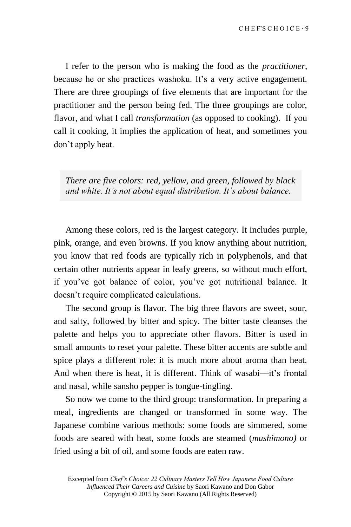I refer to the person who is making the food as the *practitioner*, because he or she practices washoku. It's a very active engagement. There are three groupings of five elements that are important for the practitioner and the person being fed. The three groupings are color, flavor, and what I call *transformation* (as opposed to cooking). If you call it cooking, it implies the application of heat, and sometimes you don't apply heat.

*There are five colors: red, yellow, and green, followed by black and white. It's not about equal distribution. It's about balance.* 

Among these colors, red is the largest category. It includes purple, pink, orange, and even browns. If you know anything about nutrition, you know that red foods are typically rich in polyphenols, and that certain other nutrients appear in leafy greens, so without much effort, if you've got balance of color, you've got nutritional balance. It doesn't require complicated calculations.

The second group is flavor. The big three flavors are sweet, sour, and salty, followed by bitter and spicy. The bitter taste cleanses the palette and helps you to appreciate other flavors. Bitter is used in small amounts to reset your palette. These bitter accents are subtle and spice plays a different role: it is much more about aroma than heat. And when there is heat, it is different. Think of wasabi––it's frontal and nasal, while sansho pepper is tongue-tingling.

So now we come to the third group: transformation. In preparing a meal, ingredients are changed or transformed in some way. The Japanese combine various methods: some foods are simmered, some foods are seared with heat, some foods are steamed (*mushimono)* or fried using a bit of oil, and some foods are eaten raw.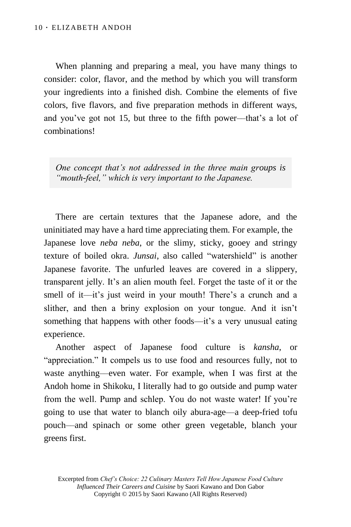When planning and preparing a meal, you have many things to consider: color, flavor, and the method by which you will transform your ingredients into a finished dish. Combine the elements of five colors, five flavors, and five preparation methods in different ways, and you've got not 15, but three to the fifth power––that's a lot of combinations!

*One concept that's not addressed in the three main groups is "mouth-feel," which is very important to the Japanese.* 

There are certain textures that the Japanese adore, and the uninitiated may have a hard time appreciating them. For example, the Japanese love *neba neba*, or the slimy, sticky, gooey and stringy texture of boiled okra. *Junsai*, also called "watershield" is another Japanese favorite. The unfurled leaves are covered in a slippery, transparent jelly. It's an alien mouth feel. Forget the taste of it or the smell of it—it's just weird in your mouth! There's a crunch and a slither, and then a briny explosion on your tongue. And it isn't something that happens with other foods––it's a very unusual eating experience.

Another aspect of Japanese food culture is *kansha*, or "appreciation." It compels us to use food and resources fully, not to waste anything––even water. For example, when I was first at the Andoh home in Shikoku, I literally had to go outside and pump water from the well. Pump and schlep. You do not waste water! If you're going to use that water to blanch oily abura-age––a deep-fried tofu pouch––and spinach or some other green vegetable, blanch your greens first.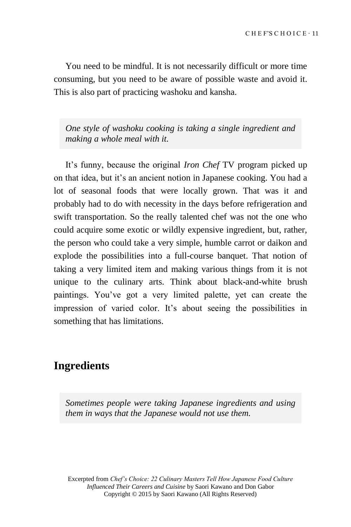You need to be mindful. It is not necessarily difficult or more time consuming, but you need to be aware of possible waste and avoid it. This is also part of practicing washoku and kansha.

*One style of washoku cooking is taking a single ingredient and making a whole meal with it.* 

It's funny, because the original *Iron Chef* TV program picked up on that idea, but it's an ancient notion in Japanese cooking. You had a lot of seasonal foods that were locally grown. That was it and probably had to do with necessity in the days before refrigeration and swift transportation. So the really talented chef was not the one who could acquire some exotic or wildly expensive ingredient, but, rather, the person who could take a very simple, humble carrot or daikon and explode the possibilities into a full-course banquet. That notion of taking a very limited item and making various things from it is not unique to the culinary arts. Think about black-and-white brush paintings. You've got a very limited palette, yet can create the impression of varied color. It's about seeing the possibilities in something that has limitations.

## **Ingredients**

*Sometimes people were taking Japanese ingredients and using them in ways that the Japanese would not use them.*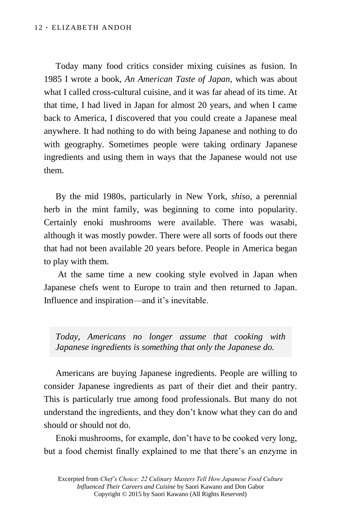Today many food critics consider mixing cuisines as fusion. In 1985 I wrote a book, *An American Taste of Japan*, which was about what I called cross-cultural cuisine, and it was far ahead of its time. At that time, I had lived in Japan for almost 20 years, and when I came back to America, I discovered that you could create a Japanese meal anywhere. It had nothing to do with being Japanese and nothing to do with geography. Sometimes people were taking ordinary Japanese ingredients and using them in ways that the Japanese would not use them.

By the mid 1980s, particularly in New York, *shiso*, a perennial herb in the mint family, was beginning to come into popularity. Certainly enoki mushrooms were available. There was wasabi, although it was mostly powder. There were all sorts of foods out there that had not been available 20 years before. People in America began to play with them.

At the same time a new cooking style evolved in Japan when Japanese chefs went to Europe to train and then returned to Japan. Influence and inspiration––and it's inevitable.

*Today, Americans no longer assume that cooking with Japanese ingredients is something that only the Japanese do.* 

Americans are buying Japanese ingredients. People are willing to consider Japanese ingredients as part of their diet and their pantry. This is particularly true among food professionals. But many do not understand the ingredients, and they don't know what they can do and should or should not do.

Enoki mushrooms, for example, don't have to be cooked very long, but a food chemist finally explained to me that there's an enzyme in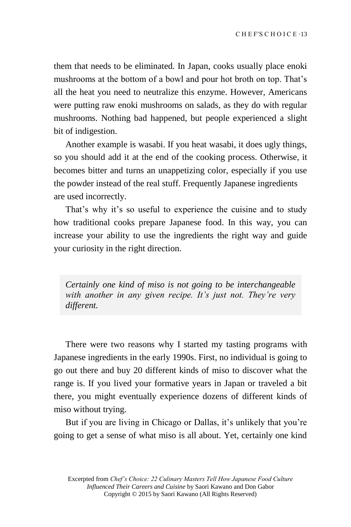them that needs to be eliminated. In Japan, cooks usually place enoki mushrooms at the bottom of a bowl and pour hot broth on top. That's all the heat you need to neutralize this enzyme. However, Americans were putting raw enoki mushrooms on salads, as they do with regular mushrooms. Nothing bad happened, but people experienced a slight bit of indigestion.

Another example is wasabi. If you heat wasabi, it does ugly things, so you should add it at the end of the cooking process. Otherwise, it becomes bitter and turns an unappetizing color, especially if you use the powder instead of the real stuff. Frequently Japanese ingredients are used incorrectly.

That's why it's so useful to experience the cuisine and to study how traditional cooks prepare Japanese food. In this way, you can increase your ability to use the ingredients the right way and guide your curiosity in the right direction.

*Certainly one kind of miso is not going to be interchangeable with another in any given recipe. It's just not. They're very different.* 

There were two reasons why I started my tasting programs with Japanese ingredients in the early 1990s. First, no individual is going to go out there and buy 20 different kinds of miso to discover what the range is. If you lived your formative years in Japan or traveled a bit there, you might eventually experience dozens of different kinds of miso without trying.

But if you are living in Chicago or Dallas, it's unlikely that you're going to get a sense of what miso is all about. Yet, certainly one kind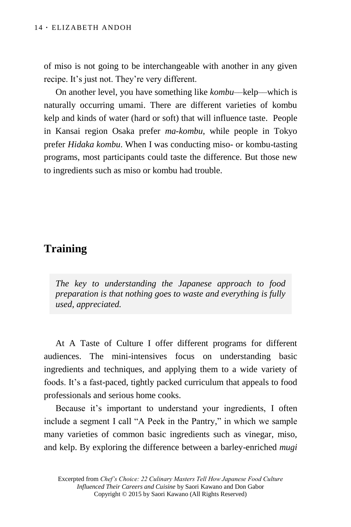of miso is not going to be interchangeable with another in any given recipe. It's just not. They're very different.

On another level, you have something like *kombu*––kelp––which is naturally occurring umami. There are different varieties of kombu kelp and kinds of water (hard or soft) that will influence taste. People in Kansai region Osaka prefer *ma-kombu*, while people in Tokyo prefer *Hidaka kombu*. When I was conducting miso- or kombu-tasting programs, most participants could taste the difference. But those new to ingredients such as miso or kombu had trouble.

## **Training**

*The key to understanding the Japanese approach to food preparation is that nothing goes to waste and everything is fully used, appreciated.* 

At A Taste of Culture I offer different programs for different audiences. The mini-intensives focus on understanding basic ingredients and techniques, and applying them to a wide variety of foods. It's a fast-paced, tightly packed curriculum that appeals to food professionals and serious home cooks.

Because it's important to understand your ingredients, I often include a segment I call "A Peek in the Pantry," in which we sample many varieties of common basic ingredients such as vinegar, miso, and kelp. By exploring the difference between a barley-enriched *mugi*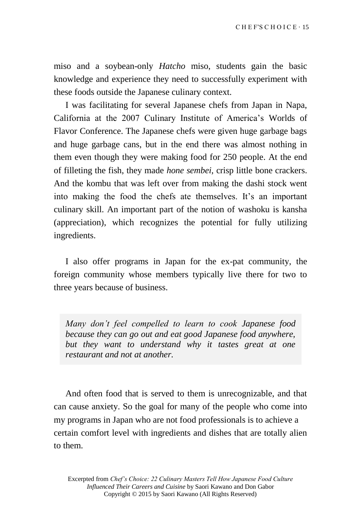miso and a soybean-only *Hatcho* miso, students gain the basic knowledge and experience they need to successfully experiment with these foods outside the Japanese culinary context.

I was facilitating for several Japanese chefs from Japan in Napa, California at the 2007 Culinary Institute of America's Worlds of Flavor Conference. The Japanese chefs were given huge garbage bags and huge garbage cans, but in the end there was almost nothing in them even though they were making food for 250 people. At the end of filleting the fish, they made *hone sembei*, crisp little bone crackers. And the kombu that was left over from making the dashi stock went into making the food the chefs ate themselves. It's an important culinary skill. An important part of the notion of washoku is kansha (appreciation), which recognizes the potential for fully utilizing ingredients.

I also offer programs in Japan for the ex-pat community, the foreign community whose members typically live there for two to three years because of business.

*Many don't feel compelled to learn to cook Japanese food because they can go out and eat good Japanese food anywhere, but they want to understand why it tastes great at one restaurant and not at another.* 

And often food that is served to them is unrecognizable, and that can cause anxiety. So the goal for many of the people who come into my programs in Japan who are not food professionals is to achieve a certain comfort level with ingredients and dishes that are totally alien to them.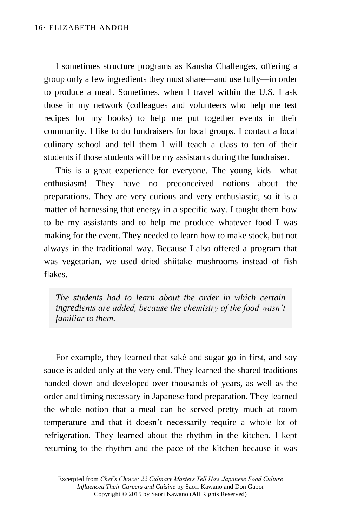I sometimes structure programs as Kansha Challenges, offering a group only a few ingredients they must share—and use fully—in order to produce a meal. Sometimes, when I travel within the U.S. I ask those in my network (colleagues and volunteers who help me test recipes for my books) to help me put together events in their community. I like to do fundraisers for local groups. I contact a local culinary school and tell them I will teach a class to ten of their students if those students will be my assistants during the fundraiser.

This is a great experience for everyone. The young kids—what enthusiasm! They have no preconceived notions about the preparations. They are very curious and very enthusiastic, so it is a matter of harnessing that energy in a specific way. I taught them how to be my assistants and to help me produce whatever food I was making for the event. They needed to learn how to make stock, but not always in the traditional way. Because I also offered a program that was vegetarian, we used dried shiitake mushrooms instead of fish flakes.

*The students had to learn about the order in which certain ingredients are added, because the chemistry of the food wasn't familiar to them.* 

For example, they learned that saké and sugar go in first, and soy sauce is added only at the very end. They learned the shared traditions handed down and developed over thousands of years, as well as the order and timing necessary in Japanese food preparation. They learned the whole notion that a meal can be served pretty much at room temperature and that it doesn't necessarily require a whole lot of refrigeration. They learned about the rhythm in the kitchen. I kept returning to the rhythm and the pace of the kitchen because it was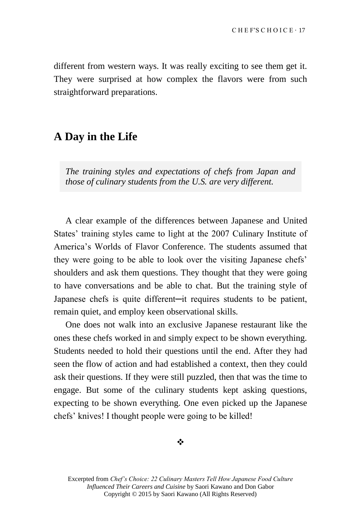different from western ways. It was really exciting to see them get it. They were surprised at how complex the flavors were from such straightforward preparations.

## **A Day in the Life**

*The training styles and expectations of chefs from Japan and those of culinary students from the U.S. are very different.* 

A clear example of the differences between Japanese and United States' training styles came to light at the 2007 Culinary Institute of America's Worlds of Flavor Conference. The students assumed that they were going to be able to look over the visiting Japanese chefs' shoulders and ask them questions. They thought that they were going to have conversations and be able to chat. But the training style of Japanese chefs is quite different—it requires students to be patient, remain quiet, and employ keen observational skills.

One does not walk into an exclusive Japanese restaurant like the ones these chefs worked in and simply expect to be shown everything. Students needed to hold their questions until the end. After they had seen the flow of action and had established a context, then they could ask their questions. If they were still puzzled, then that was the time to engage. But some of the culinary students kept asking questions, expecting to be shown everything. One even picked up the Japanese chefs' knives! I thought people were going to be killed!